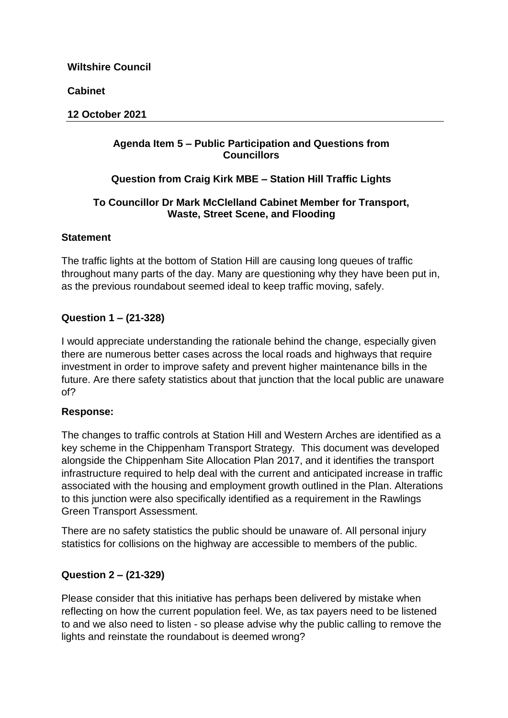**Cabinet**

### **12 October 2021**

# **Agenda Item 5 – Public Participation and Questions from Councillors**

# **Question from Craig Kirk MBE – Station Hill Traffic Lights**

# **To Councillor Dr Mark McClelland Cabinet Member for Transport, Waste, Street Scene, and Flooding**

# **Statement**

The traffic lights at the bottom of Station Hill are causing long queues of traffic throughout many parts of the day. Many are questioning why they have been put in, as the previous roundabout seemed ideal to keep traffic moving, safely.

# **Question 1 – (21-328)**

I would appreciate understanding the rationale behind the change, especially given there are numerous better cases across the local roads and highways that require investment in order to improve safety and prevent higher maintenance bills in the future. Are there safety statistics about that junction that the local public are unaware of?

# **Response:**

The changes to traffic controls at Station Hill and Western Arches are identified as a key scheme in the Chippenham Transport Strategy. This document was developed alongside the Chippenham Site Allocation Plan 2017, and it identifies the transport infrastructure required to help deal with the current and anticipated increase in traffic associated with the housing and employment growth outlined in the Plan. Alterations to this junction were also specifically identified as a requirement in the Rawlings Green Transport Assessment.

There are no safety statistics the public should be unaware of. All personal injury statistics for collisions on the highway are accessible to members of the public.

# **Question 2 – (21-329)**

Please consider that this initiative has perhaps been delivered by mistake when reflecting on how the current population feel. We, as tax payers need to be listened to and we also need to listen - so please advise why the public calling to remove the lights and reinstate the roundabout is deemed wrong?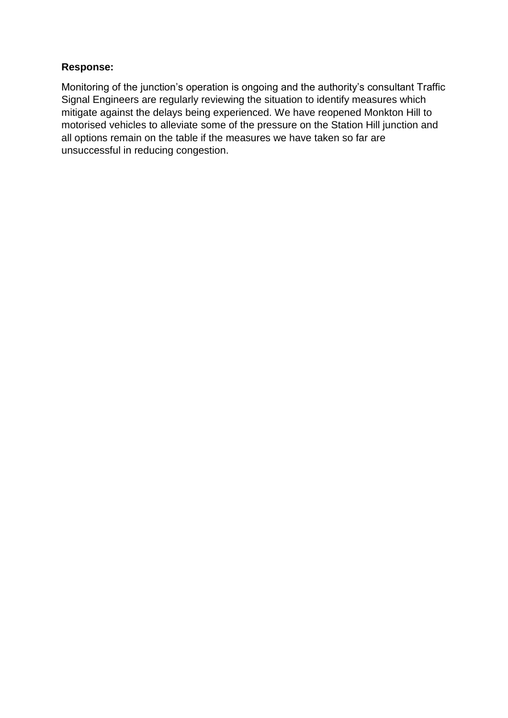Monitoring of the junction's operation is ongoing and the authority's consultant Traffic Signal Engineers are regularly reviewing the situation to identify measures which mitigate against the delays being experienced. We have reopened Monkton Hill to motorised vehicles to alleviate some of the pressure on the Station Hill junction and all options remain on the table if the measures we have taken so far are unsuccessful in reducing congestion.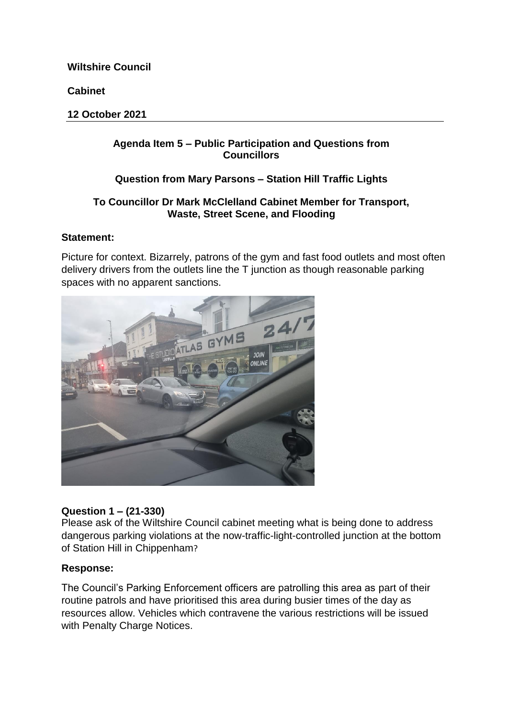**Cabinet**

**12 October 2021**

# **Agenda Item 5 – Public Participation and Questions from Councillors**

# **Question from Mary Parsons – Station Hill Traffic Lights**

### **To Councillor Dr Mark McClelland Cabinet Member for Transport, Waste, Street Scene, and Flooding**

### **Statement:**

Picture for context. Bizarrely, patrons of the gym and fast food outlets and most often delivery drivers from the outlets line the T junction as though reasonable parking spaces with no apparent sanctions.



# **Question 1 – (21-330)**

Please ask of the Wiltshire Council cabinet meeting what is being done to address dangerous parking violations at the now-traffic-light-controlled junction at the bottom of Station Hill in Chippenham?

# **Response:**

The Council's Parking Enforcement officers are patrolling this area as part of their routine patrols and have prioritised this area during busier times of the day as resources allow. Vehicles which contravene the various restrictions will be issued with Penalty Charge Notices.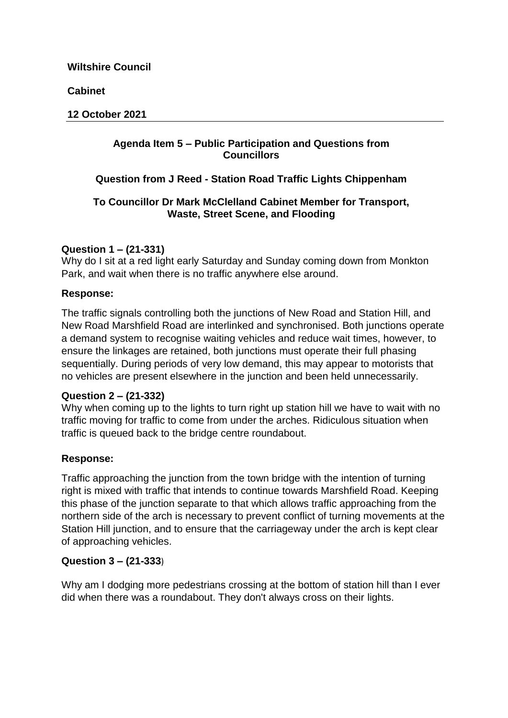**Cabinet**

#### **12 October 2021**

### **Agenda Item 5 – Public Participation and Questions from Councillors**

# **Question from J Reed - Station Road Traffic Lights Chippenham**

### **To Councillor Dr Mark McClelland Cabinet Member for Transport, Waste, Street Scene, and Flooding**

# **Question 1 – (21-331)**

Why do I sit at a red light early Saturday and Sunday coming down from Monkton Park, and wait when there is no traffic anywhere else around.

# **Response:**

The traffic signals controlling both the junctions of New Road and Station Hill, and New Road Marshfield Road are interlinked and synchronised. Both junctions operate a demand system to recognise waiting vehicles and reduce wait times, however, to ensure the linkages are retained, both junctions must operate their full phasing sequentially. During periods of very low demand, this may appear to motorists that no vehicles are present elsewhere in the junction and been held unnecessarily.

#### **Question 2 – (21-332)**

Why when coming up to the lights to turn right up station hill we have to wait with no traffic moving for traffic to come from under the arches. Ridiculous situation when traffic is queued back to the bridge centre roundabout.

# **Response:**

Traffic approaching the junction from the town bridge with the intention of turning right is mixed with traffic that intends to continue towards Marshfield Road. Keeping this phase of the junction separate to that which allows traffic approaching from the northern side of the arch is necessary to prevent conflict of turning movements at the Station Hill junction, and to ensure that the carriageway under the arch is kept clear of approaching vehicles.

# **Question 3 – (21-333**)

Why am I dodging more pedestrians crossing at the bottom of station hill than I ever did when there was a roundabout. They don't always cross on their lights.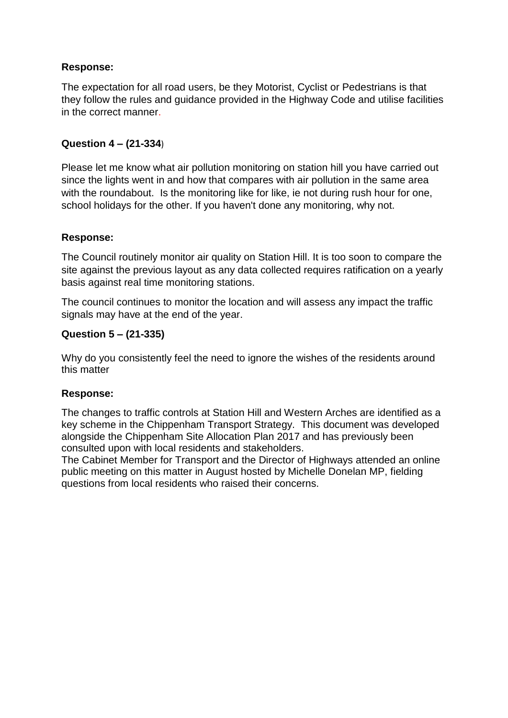The expectation for all road users, be they Motorist, Cyclist or Pedestrians is that they follow the rules and guidance provided in the Highway Code and utilise facilities in the correct manner.

# **Question 4 – (21-334**)

Please let me know what air pollution monitoring on station hill you have carried out since the lights went in and how that compares with air pollution in the same area with the roundabout. Is the monitoring like for like, ie not during rush hour for one, school holidays for the other. If you haven't done any monitoring, why not.

### **Response:**

The Council routinely monitor air quality on Station Hill. It is too soon to compare the site against the previous layout as any data collected requires ratification on a yearly basis against real time monitoring stations.

The council continues to monitor the location and will assess any impact the traffic signals may have at the end of the year.

### **Question 5 – (21-335)**

Why do you consistently feel the need to ignore the wishes of the residents around this matter

#### **Response:**

The changes to traffic controls at Station Hill and Western Arches are identified as a key scheme in the Chippenham Transport Strategy. This document was developed alongside the Chippenham Site Allocation Plan 2017 and has previously been consulted upon with local residents and stakeholders.

The Cabinet Member for Transport and the Director of Highways attended an online public meeting on this matter in August hosted by Michelle Donelan MP, fielding questions from local residents who raised their concerns.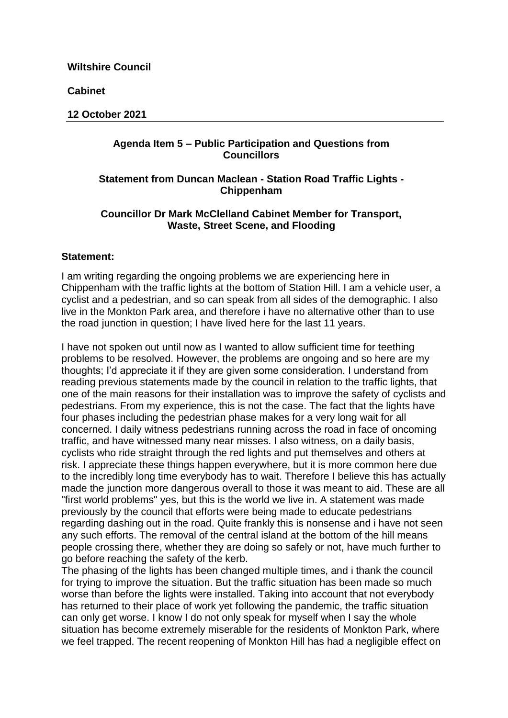**Cabinet**

#### **12 October 2021**

#### **Agenda Item 5 – Public Participation and Questions from Councillors**

### **Statement from Duncan Maclean - Station Road Traffic Lights - Chippenham**

#### **Councillor Dr Mark McClelland Cabinet Member for Transport, Waste, Street Scene, and Flooding**

#### **Statement:**

I am writing regarding the ongoing problems we are experiencing here in Chippenham with the traffic lights at the bottom of Station Hill. I am a vehicle user, a cyclist and a pedestrian, and so can speak from all sides of the demographic. I also live in the Monkton Park area, and therefore i have no alternative other than to use the road junction in question; I have lived here for the last 11 years.

I have not spoken out until now as I wanted to allow sufficient time for teething problems to be resolved. However, the problems are ongoing and so here are my thoughts; I'd appreciate it if they are given some consideration. I understand from reading previous statements made by the council in relation to the traffic lights, that one of the main reasons for their installation was to improve the safety of cyclists and pedestrians. From my experience, this is not the case. The fact that the lights have four phases including the pedestrian phase makes for a very long wait for all concerned. I daily witness pedestrians running across the road in face of oncoming traffic, and have witnessed many near misses. I also witness, on a daily basis, cyclists who ride straight through the red lights and put themselves and others at risk. I appreciate these things happen everywhere, but it is more common here due to the incredibly long time everybody has to wait. Therefore I believe this has actually made the junction more dangerous overall to those it was meant to aid. These are all "first world problems" yes, but this is the world we live in. A statement was made previously by the council that efforts were being made to educate pedestrians regarding dashing out in the road. Quite frankly this is nonsense and i have not seen any such efforts. The removal of the central island at the bottom of the hill means people crossing there, whether they are doing so safely or not, have much further to go before reaching the safety of the kerb.

The phasing of the lights has been changed multiple times, and i thank the council for trying to improve the situation. But the traffic situation has been made so much worse than before the lights were installed. Taking into account that not everybody has returned to their place of work yet following the pandemic, the traffic situation can only get worse. I know I do not only speak for myself when I say the whole situation has become extremely miserable for the residents of Monkton Park, where we feel trapped. The recent reopening of Monkton Hill has had a negligible effect on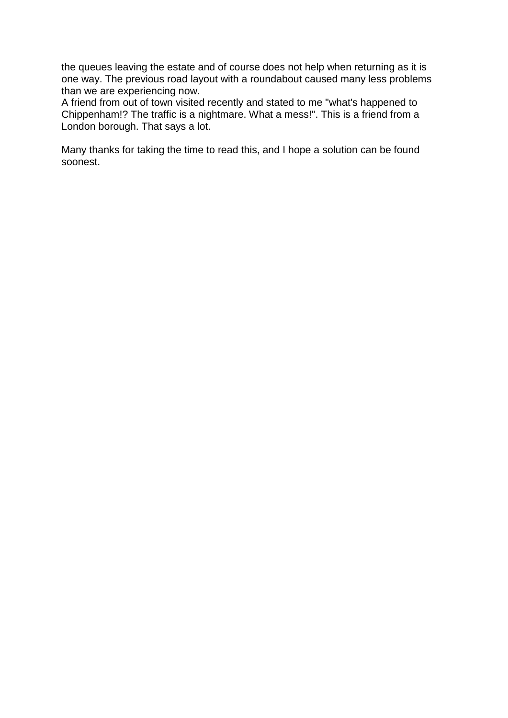the queues leaving the estate and of course does not help when returning as it is one way. The previous road layout with a roundabout caused many less problems than we are experiencing now.

A friend from out of town visited recently and stated to me "what's happened to Chippenham!? The traffic is a nightmare. What a mess!". This is a friend from a London borough. That says a lot.

Many thanks for taking the time to read this, and I hope a solution can be found soonest.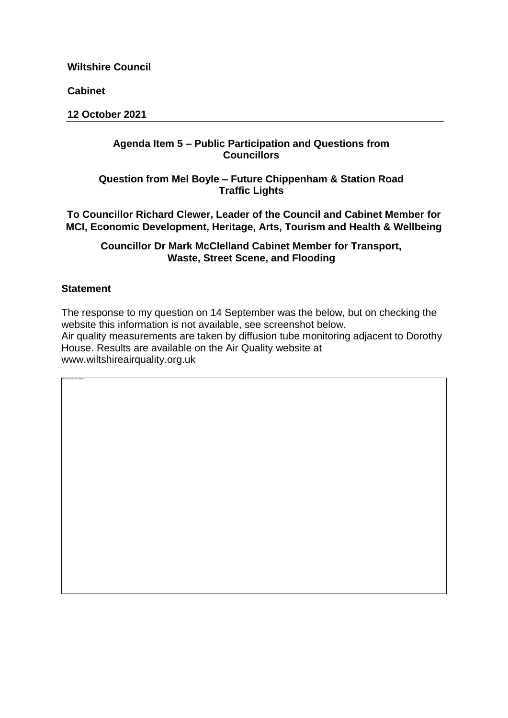**Cabinet**

**12 October 2021**

### **Agenda Item 5 – Public Participation and Questions from Councillors**

# **Question from Mel BoyIe – Future Chippenham & Station Road Traffic Lights**

**To Councillor Richard Clewer, Leader of the Council and Cabinet Member for MCI, Economic Development, Heritage, Arts, Tourism and Health & Wellbeing**

**Councillor Dr Mark McClelland Cabinet Member for Transport, Waste, Street Scene, and Flooding** 

# **Statement**

The response to my question on 14 September was the below, but on checking the website this information is not available, see screenshot below. Air quality measurements are taken by diffusion tube monitoring adjacent to Dorothy House. Results are available on the Air Quality website at [www.wiltshireairquality.org.uk](https://eur02.safelinks.protection.outlook.com/?url=http%3A%2F%2Fwww.wiltshireairquality.org.uk%2F&data=04%7C01%7Cfiona.amor%40wiltshire.gov.uk%7C762ba712b1c24d4d10db08d9889ddadf%7C5546e75e3be14813b0ff26651ea2fe19%7C0%7C0%7C637691033820159493%7CUnknown%7CTWFpbGZsb3d8eyJWIjoiMC4wLjAwMDAiLCJQIjoiV2luMzIiLCJBTiI6Ik1haWwiLCJXVCI6Mn0%3D%7C1000&sdata=bMED5V8p7ZSnZx2Pt%2FPn%2BY4Fr%2FKThcM9FrMnaXhzqZ0%3D&reserved=0)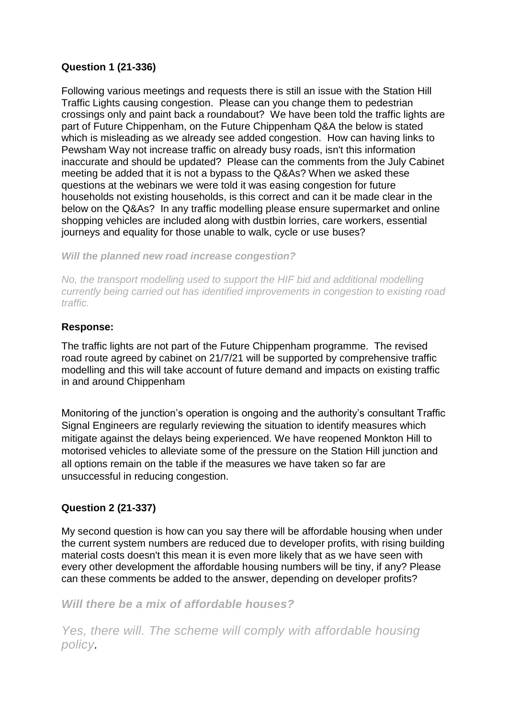# **Question 1 (21-336)**

Following various meetings and requests there is still an issue with the Station Hill Traffic Lights causing congestion. Please can you change them to pedestrian crossings only and paint back a roundabout? We have been told the traffic lights are part of Future Chippenham, on the Future Chippenham Q&A the below is stated which is misleading as we already see added congestion. How can having links to Pewsham Way not increase traffic on already busy roads, isn't this information inaccurate and should be updated? Please can the comments from the July Cabinet meeting be added that it is not a bypass to the Q&As? When we asked these questions at the webinars we were told it was easing congestion for future households not existing households, is this correct and can it be made clear in the below on the Q&As? In any traffic modelling please ensure supermarket and online shopping vehicles are included along with dustbin lorries, care workers, essential journeys and equality for those unable to walk, cycle or use buses?

*Will the planned new road increase congestion?*

*No, the transport modelling used to support the HIF bid and additional modelling currently being carried out has identified improvements in congestion to existing road traffic.*

#### **Response:**

The traffic lights are not part of the Future Chippenham programme. The revised road route agreed by cabinet on 21/7/21 will be supported by comprehensive traffic modelling and this will take account of future demand and impacts on existing traffic in and around Chippenham

Monitoring of the junction's operation is ongoing and the authority's consultant Traffic Signal Engineers are regularly reviewing the situation to identify measures which mitigate against the delays being experienced. We have reopened Monkton Hill to motorised vehicles to alleviate some of the pressure on the Station Hill junction and all options remain on the table if the measures we have taken so far are unsuccessful in reducing congestion.

# **Question 2 (21-337)**

My second question is how can you say there will be affordable housing when under the current system numbers are reduced due to developer profits, with rising building material costs doesn't this mean it is even more likely that as we have seen with every other development the affordable housing numbers will be tiny, if any? Please can these comments be added to the answer, depending on developer profits?

# *Will there be a mix of affordable houses?*

*Yes, there will. The scheme will comply with affordable housing policy.*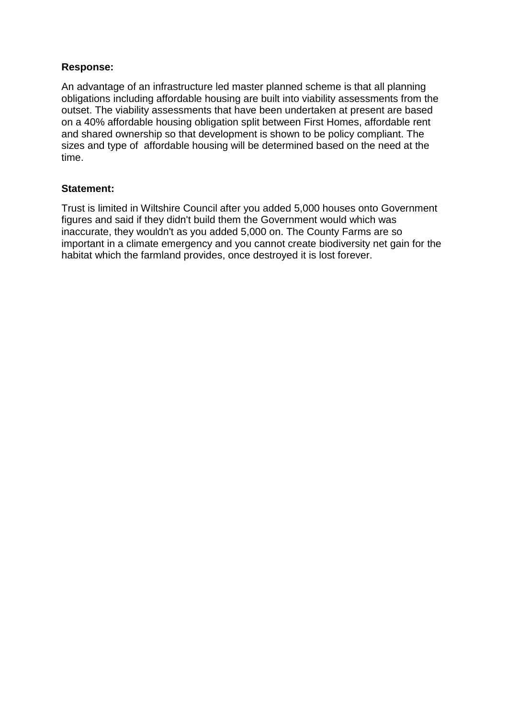An advantage of an infrastructure led master planned scheme is that all planning obligations including affordable housing are built into viability assessments from the outset. The viability assessments that have been undertaken at present are based on a 40% affordable housing obligation split between First Homes, affordable rent and shared ownership so that development is shown to be policy compliant. The sizes and type of affordable housing will be determined based on the need at the time.

#### **Statement:**

Trust is limited in Wiltshire Council after you added 5,000 houses onto Government figures and said if they didn't build them the Government would which was inaccurate, they wouldn't as you added 5,000 on. The County Farms are so important in a climate emergency and you cannot create biodiversity net gain for the habitat which the farmland provides, once destroyed it is lost forever.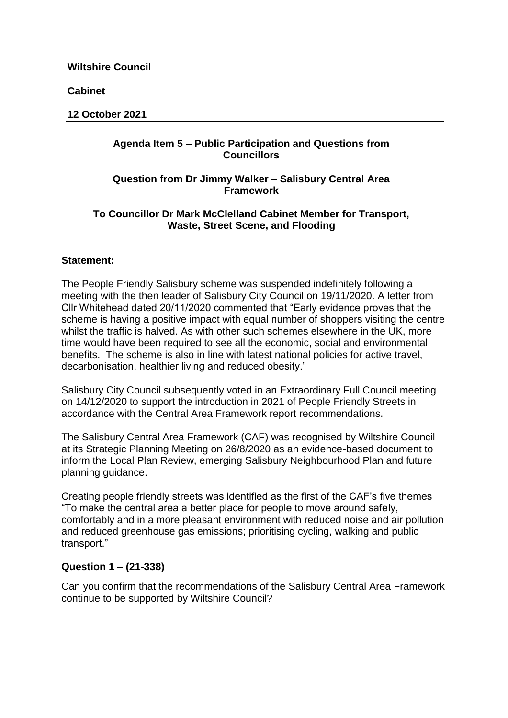**Cabinet**

#### **12 October 2021**

### **Agenda Item 5 – Public Participation and Questions from Councillors**

### **Question from Dr Jimmy Walker – Salisbury Central Area Framework**

### **To Councillor Dr Mark McClelland Cabinet Member for Transport, Waste, Street Scene, and Flooding**

### **Statement:**

The People Friendly Salisbury scheme was suspended indefinitely following a meeting with the then leader of Salisbury City Council on 19/11/2020. A letter from Cllr Whitehead dated 20/11/2020 commented that "Early evidence proves that the scheme is having a positive impact with equal number of shoppers visiting the centre whilst the traffic is halved. As with other such schemes elsewhere in the UK, more time would have been required to see all the economic, social and environmental benefits. The scheme is also in line with latest national policies for active travel, decarbonisation, healthier living and reduced obesity."

Salisbury City Council subsequently voted in an Extraordinary Full Council meeting on 14/12/2020 to support the introduction in 2021 of People Friendly Streets in accordance with the Central Area Framework report recommendations.

The Salisbury Central Area Framework (CAF) was recognised by Wiltshire Council at its Strategic Planning Meeting on 26/8/2020 as an evidence-based document to inform the Local Plan Review, emerging Salisbury Neighbourhood Plan and future planning guidance.

Creating people friendly streets was identified as the first of the CAF's five themes "To make the central area a better place for people to move around safely, comfortably and in a more pleasant environment with reduced noise and air pollution and reduced greenhouse gas emissions; prioritising cycling, walking and public transport."

# **Question 1 – (21-338)**

Can you confirm that the recommendations of the Salisbury Central Area Framework continue to be supported by Wiltshire Council?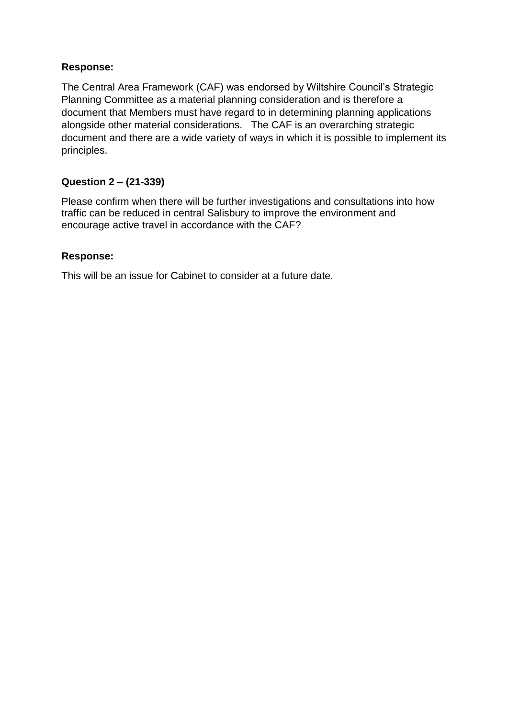The Central Area Framework (CAF) was endorsed by Wiltshire Council's Strategic Planning Committee as a material planning consideration and is therefore a document that Members must have regard to in determining planning applications alongside other material considerations. The CAF is an overarching strategic document and there are a wide variety of ways in which it is possible to implement its principles.

### **Question 2 – (21-339)**

Please confirm when there will be further investigations and consultations into how traffic can be reduced in central Salisbury to improve the environment and encourage active travel in accordance with the CAF?

### **Response:**

This will be an issue for Cabinet to consider at a future date.